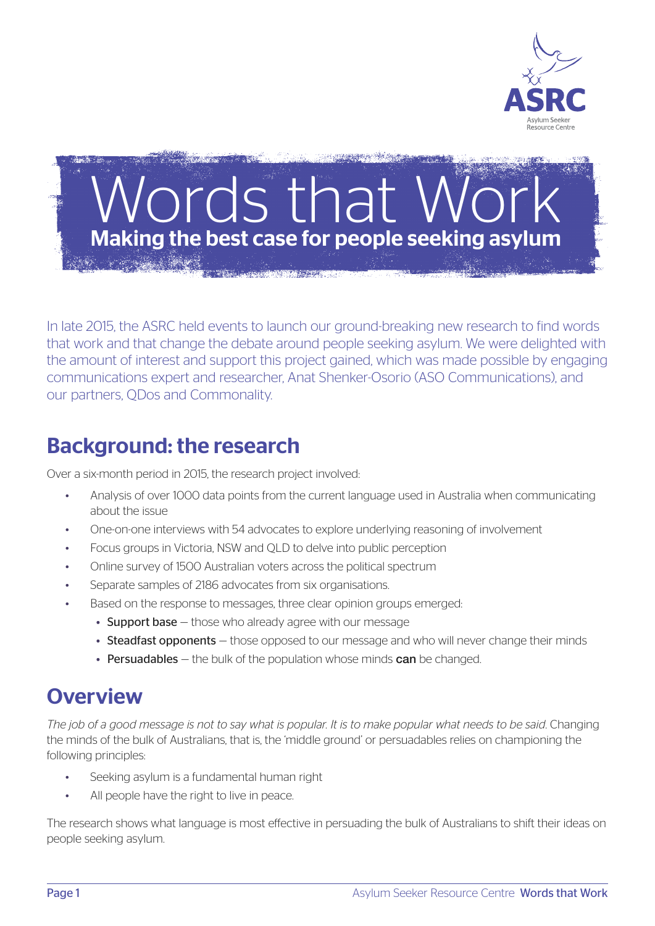

# rds that Making the best case for people seeking asylum

In late 2015, the ASRC held events to launch our ground-breaking new research to find words that work and that change the debate around people seeking asylum. We were delighted with the amount of interest and support this project gained, which was made possible by engaging communications expert and researcher, Anat Shenker-Osorio (ASO Communications), and our partners, QDos and Commonality.

## Background: the research

Over a six-month period in 2015, the research project involved:

- Analysis of over 1000 data points from the current language used in Australia when communicating about the issue
- One-on-one interviews with 54 advocates to explore underlying reasoning of involvement
- Focus groups in Victoria, NSW and QLD to delve into public perception
- Online survey of 1500 Australian voters across the political spectrum
- Separate samples of 2186 advocates from six organisations.
- Based on the response to messages, three clear opinion groups emerged:
	- Support base those who already agree with our message
	- Steadfast opponents those opposed to our message and who will never change their minds
	- Persuadables  $-$  the bulk of the population whose minds can be changed.

## **Overview**

*The job of a good message is not to say what is popular. It is to make popular what needs to be said*. Changing the minds of the bulk of Australians, that is, the 'middle ground' or persuadables relies on championing the following principles:

- Seeking asylum is a fundamental human right
- All people have the right to live in peace.

The research shows what language is most effective in persuading the bulk of Australians to shift their ideas on people seeking asylum.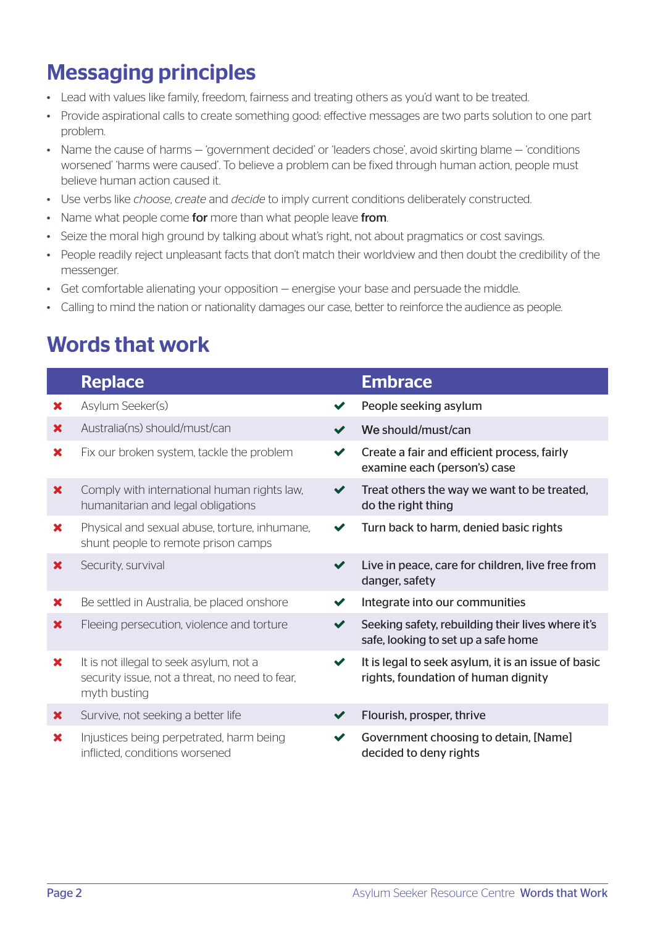## Messaging principles

- Lead with values like family, freedom, fairness and treating others as you'd want to be treated.
- • Provide aspirational calls to create something good: effective messages are two parts solution to one part problem.
- Name the cause of harms 'government decided' or 'leaders chose', avoid skirting blame 'conditions' worsened' 'harms were caused'. To believe a problem can be fixed through human action, people must believe human action caused it.
- • Use verbs like *choose*, *create* and *decide* to imply current conditions deliberately constructed.
- Name what people come for more than what people leave from.
- Seize the moral high ground by talking about what's right, not about pragmatics or cost savings.
- People readily reject unpleasant facts that don't match their worldview and then doubt the credibility of the messenger.
- Get comfortable alienating your opposition energise your base and persuade the middle.
- • Calling to mind the nation or nationality damages our case, better to reinforce the audience as people.

## Words that work

|                           | <b>Replace</b>                                                                                            |                      | <b>Embrace</b>                                                                             |
|---------------------------|-----------------------------------------------------------------------------------------------------------|----------------------|--------------------------------------------------------------------------------------------|
| ×                         | Asylum Seeker(s)                                                                                          |                      | People seeking asylum                                                                      |
| $\mathbf x$               | Australia(ns) should/must/can                                                                             |                      | We should/must/can                                                                         |
| ×                         | Fix our broken system, tackle the problem                                                                 | $\blacktriangledown$ | Create a fair and efficient process, fairly<br>examine each (person's) case                |
| ×                         | Comply with international human rights law,<br>humanitarian and legal obligations                         | ✔                    | Treat others the way we want to be treated,<br>do the right thing                          |
| ×                         | Physical and sexual abuse, torture, inhumane,<br>shunt people to remote prison camps                      |                      | Turn back to harm, denied basic rights                                                     |
| ×                         | Security, survival                                                                                        | $\blacktriangledown$ | Live in peace, care for children, live free from<br>danger, safety                         |
| ×                         | Be settled in Australia, be placed onshore                                                                |                      | Integrate into our communities                                                             |
| ×                         | Fleeing persecution, violence and torture                                                                 |                      | Seeking safety, rebuilding their lives where it's<br>safe, looking to set up a safe home   |
| $\boldsymbol{\mathsf{x}}$ | It is not illegal to seek asylum, not a<br>security issue, not a threat, no need to fear,<br>myth busting | $\checkmark$         | It is legal to seek asylum, it is an issue of basic<br>rights, foundation of human dignity |
| ×                         | Survive, not seeking a better life                                                                        |                      | Flourish, prosper, thrive                                                                  |
| ×                         | Injustices being perpetrated, harm being<br>inflicted, conditions worsened                                |                      | Government choosing to detain, [Name]<br>decided to deny rights                            |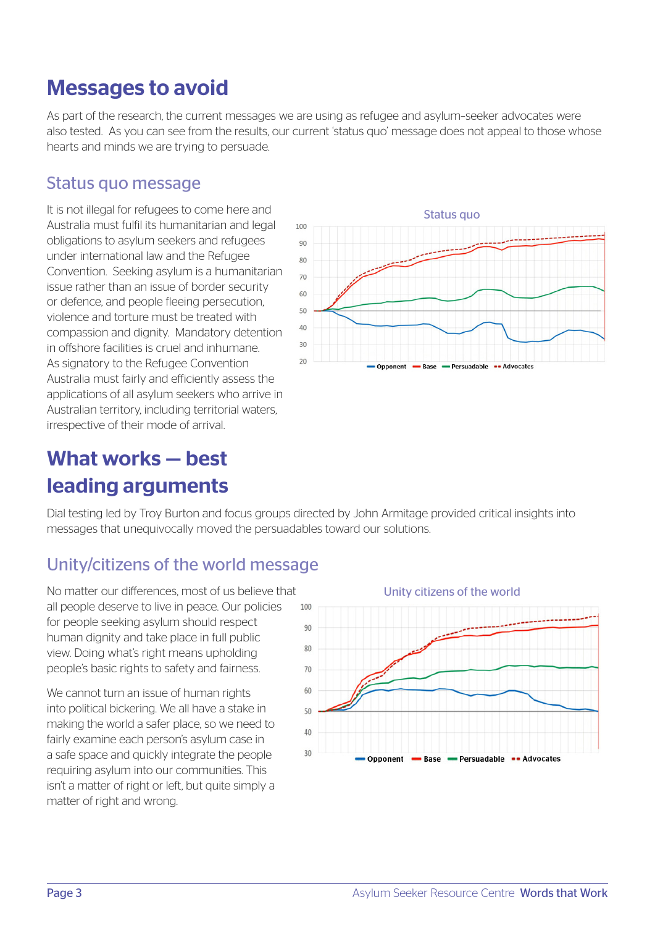## Messages to avoid

As part of the research, the current messages we are using as refugee and asylum–seeker advocates were also tested. As you can see from the results, our current 'status quo' message does not appeal to those whose hearts and minds we are trying to persuade.

#### Status quo message

It is not illegal for refugees to come here and Australia must fulfil its humanitarian and legal obligations to asylum seekers and refugees under international law and the Refugee Convention. Seeking asylum is a humanitarian issue rather than an issue of border security or defence, and people fleeing persecution, violence and torture must be treated with compassion and dignity. Mandatory detention in offshore facilities is cruel and inhumane. As signatory to the Refugee Convention Australia must fairly and efficiently assess the applications of all asylum seekers who arrive in Australian territory, including territorial waters, irrespective of their mode of arrival.



## What works — best leading arguments

Dial testing led by Troy Burton and focus groups directed by John Armitage provided critical insights into messages that unequivocally moved the persuadables toward our solutions.

### Unity/citizens of the world message

No matter our differences, most of us believe that all people deserve to live in peace. Our policies for people seeking asylum should respect human dignity and take place in full public view. Doing what's right means upholding people's basic rights to safety and fairness.

We cannot turn an issue of human rights into political bickering. We all have a stake in making the world a safer place, so we need to fairly examine each person's asylum case in a safe space and quickly integrate the people requiring asylum into our communities. This isn't a matter of right or left, but quite simply a matter of right and wrong.